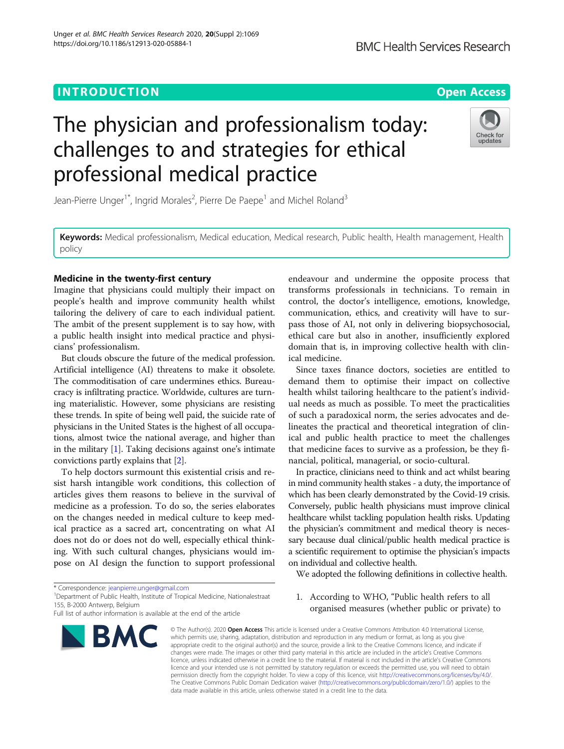# **INTRODUCTION CONSUMING THE OPEN ACCESS**

# The physician and professionalism today: challenges to and strategies for ethical professional medical practice

Jean-Pierre Unger<sup>1\*</sup>, Ingrid Morales<sup>2</sup>, Pierre De Paepe<sup>1</sup> and Michel Roland<sup>3</sup>

Keywords: Medical professionalism, Medical education, Medical research, Public health, Health management, Health policy

# Medicine in the twenty-first century

Imagine that physicians could multiply their impact on people's health and improve community health whilst tailoring the delivery of care to each individual patient. The ambit of the present supplement is to say how, with a public health insight into medical practice and physicians' professionalism.

But clouds obscure the future of the medical profession. Artificial intelligence (AI) threatens to make it obsolete. The commoditisation of care undermines ethics. Bureaucracy is infiltrating practice. Worldwide, cultures are turning materialistic. However, some physicians are resisting these trends. In spite of being well paid, the suicide rate of physicians in the United States is the highest of all occupations, almost twice the national average, and higher than in the military [\[1\]](#page-3-0). Taking decisions against one's intimate convictions partly explains that [[2\]](#page-3-0).

To help doctors surmount this existential crisis and resist harsh intangible work conditions, this collection of articles gives them reasons to believe in the survival of medicine as a profession. To do so, the series elaborates on the changes needed in medical culture to keep medical practice as a sacred art, concentrating on what AI does not do or does not do well, especially ethical thinking. With such cultural changes, physicians would impose on AI design the function to support professional

\* Correspondence: [jeanpierre.unger@gmail.com](mailto:jeanpierre.unger@gmail.com) <sup>1</sup>

<sup>1</sup> Department of Public Health, Institute of Tropical Medicine, Nationalestraat 155, B-2000 Antwerp, Belgium

# endeavour and undermine the opposite process that transforms professionals in technicians. To remain in control, the doctor's intelligence, emotions, knowledge, communication, ethics, and creativity will have to surpass those of AI, not only in delivering biopsychosocial, ethical care but also in another, insufficiently explored domain that is, in improving collective health with clinical medicine.

Since taxes finance doctors, societies are entitled to demand them to optimise their impact on collective health whilst tailoring healthcare to the patient's individual needs as much as possible. To meet the practicalities of such a paradoxical norm, the series advocates and delineates the practical and theoretical integration of clinical and public health practice to meet the challenges that medicine faces to survive as a profession, be they financial, political, managerial, or socio-cultural.

In practice, clinicians need to think and act whilst bearing in mind community health stakes - a duty, the importance of which has been clearly demonstrated by the Covid-19 crisis. Conversely, public health physicians must improve clinical healthcare whilst tackling population health risks. Updating the physician's commitment and medical theory is necessary because dual clinical/public health medical practice is a scientific requirement to optimise the physician's impacts on individual and collective health.

We adopted the following definitions in collective health.

1. According to WHO, "Public health refers to all organised measures (whether public or private) to

© The Author(s), 2020 **Open Access** This article is licensed under a Creative Commons Attribution 4.0 International License, which permits use, sharing, adaptation, distribution and reproduction in any medium or format, as long as you give appropriate credit to the original author(s) and the source, provide a link to the Creative Commons licence, and indicate if changes were made. The images or other third party material in this article are included in the article's Creative Commons licence, unless indicated otherwise in a credit line to the material. If material is not included in the article's Creative Commons licence and your intended use is not permitted by statutory regulation or exceeds the permitted use, you will need to obtain permission directly from the copyright holder. To view a copy of this licence, visit [http://creativecommons.org/licenses/by/4.0/.](http://creativecommons.org/licenses/by/4.0/) The Creative Commons Public Domain Dedication waiver [\(http://creativecommons.org/publicdomain/zero/1.0/](http://creativecommons.org/publicdomain/zero/1.0/)) applies to the data made available in this article, unless otherwise stated in a credit line to the data.



**BMC Health Services Research** 



Full list of author information is available at the end of the article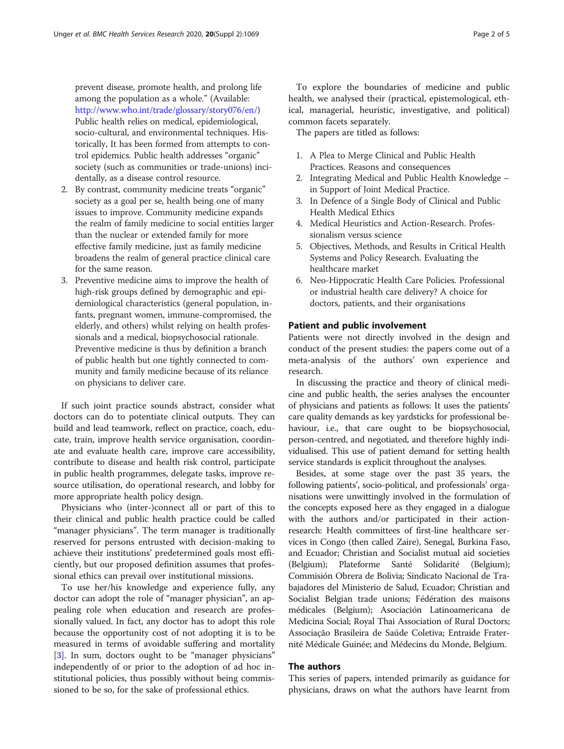prevent disease, promote health, and prolong life among the population as a whole." (Available: [http://www.who.int/trade/glossary/story076/en/\)](http://www.who.int/trade/glossary/story076/en/) Public health relies on medical, epidemiological, socio-cultural, and environmental techniques. Historically, It has been formed from attempts to control epidemics. Public health addresses "organic" society (such as communities or trade-unions) incidentally, as a disease control resource.

- 2. By contrast, community medicine treats "organic" society as a goal per se, health being one of many issues to improve. Community medicine expands the realm of family medicine to social entities larger than the nuclear or extended family for more effective family medicine, just as family medicine broadens the realm of general practice clinical care for the same reason.
- 3. Preventive medicine aims to improve the health of high-risk groups defined by demographic and epidemiological characteristics (general population, infants, pregnant women, immune-compromised, the elderly, and others) whilst relying on health professionals and a medical, biopsychosocial rationale. Preventive medicine is thus by definition a branch of public health but one tightly connected to community and family medicine because of its reliance on physicians to deliver care.

If such joint practice sounds abstract, consider what doctors can do to potentiate clinical outputs. They can build and lead teamwork, reflect on practice, coach, educate, train, improve health service organisation, coordinate and evaluate health care, improve care accessibility, contribute to disease and health risk control, participate in public health programmes, delegate tasks, improve resource utilisation, do operational research, and lobby for more appropriate health policy design.

Physicians who (inter-)connect all or part of this to their clinical and public health practice could be called "manager physicians". The term manager is traditionally reserved for persons entrusted with decision-making to achieve their institutions' predetermined goals most efficiently, but our proposed definition assumes that professional ethics can prevail over institutional missions.

To use her/his knowledge and experience fully, any doctor can adopt the role of "manager physician", an appealing role when education and research are professionally valued. In fact, any doctor has to adopt this role because the opportunity cost of not adopting it is to be measured in terms of avoidable suffering and mortality [[3\]](#page-3-0). In sum, doctors ought to be "manager physicians" independently of or prior to the adoption of ad hoc institutional policies, thus possibly without being commissioned to be so, for the sake of professional ethics.

To explore the boundaries of medicine and public health, we analysed their (practical, epistemological, ethical, managerial, heuristic, investigative, and political) common facets separately.

The papers are titled as follows:

- 1. A Plea to Merge Clinical and Public Health Practices. Reasons and consequences
- 2. Integrating Medical and Public Health Knowledge in Support of Joint Medical Practice.
- 3. In Defence of a Single Body of Clinical and Public Health Medical Ethics
- 4. Medical Heuristics and Action-Research. Professionalism versus science
- 5. Objectives, Methods, and Results in Critical Health Systems and Policy Research. Evaluating the healthcare market
- 6. Neo-Hippocratic Health Care Policies. Professional or industrial health care delivery? A choice for doctors, patients, and their organisations

# Patient and public involvement

Patients were not directly involved in the design and conduct of the present studies: the papers come out of a meta-analysis of the authors' own experience and research.

In discussing the practice and theory of clinical medicine and public health, the series analyses the encounter of physicians and patients as follows: It uses the patients' care quality demands as key yardsticks for professional behaviour, i.e., that care ought to be biopsychosocial, person-centred, and negotiated, and therefore highly individualised. This use of patient demand for setting health service standards is explicit throughout the analyses.

Besides, at some stage over the past 35 years, the following patients', socio-political, and professionals' organisations were unwittingly involved in the formulation of the concepts exposed here as they engaged in a dialogue with the authors and/or participated in their actionresearch: Health committees of first-line healthcare services in Congo (then called Zaire), Senegal, Burkina Faso, and Ecuador; Christian and Socialist mutual aid societies (Belgium); Plateforme Santé Solidarité (Belgium); Commisión Obrera de Bolivia; Sindicato Nacional de Trabajadores del Ministerio de Salud, Ecuador; Christian and Socialist Belgian trade unions; Fédération des maisons médicales (Belgium); Asociación Latinoamericana de Medicina Social; Royal Thai Association of Rural Doctors; Associação Brasileira de Saúde Coletiva; Entraide Fraternité Médicale Guinée; and Médecins du Monde, Belgium.

# The authors

This series of papers, intended primarily as guidance for physicians, draws on what the authors have learnt from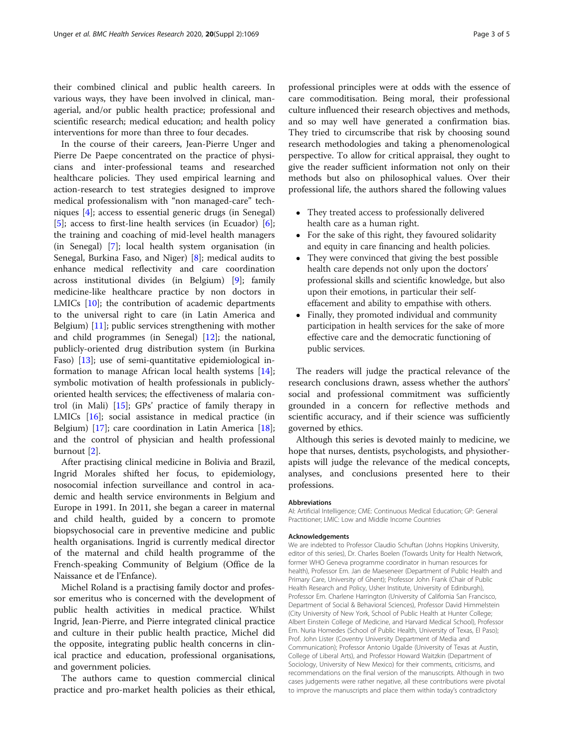their combined clinical and public health careers. In various ways, they have been involved in clinical, managerial, and/or public health practice; professional and scientific research; medical education; and health policy interventions for more than three to four decades.

In the course of their careers, Jean-Pierre Unger and Pierre De Paepe concentrated on the practice of physicians and inter-professional teams and researched healthcare policies. They used empirical learning and action-research to test strategies designed to improve medical professionalism with "non managed-care" techniques [\[4](#page-3-0)]; access to essential generic drugs (in Senegal) [[5\]](#page-3-0); access to first-line health services (in Ecuador) [\[6](#page-3-0)]; the training and coaching of mid-level health managers (in Senegal) [[7\]](#page-3-0); local health system organisation (in Senegal, Burkina Faso, and Niger) [[8\]](#page-3-0); medical audits to enhance medical reflectivity and care coordination across institutional divides (in Belgium) [[9\]](#page-3-0); family medicine-like healthcare practice by non doctors in LMICs [[10](#page-3-0)]; the contribution of academic departments to the universal right to care (in Latin America and Belgium) [[11](#page-3-0)]; public services strengthening with mother and child programmes (in Senegal) [\[12\]](#page-3-0); the national, publicly-oriented drug distribution system (in Burkina Faso) [[13\]](#page-3-0); use of semi-quantitative epidemiological information to manage African local health systems [\[14](#page-3-0)]; symbolic motivation of health professionals in publiclyoriented health services; the effectiveness of malaria control (in Mali) [[15](#page-4-0)]; GPs' practice of family therapy in LMICs [\[16\]](#page-4-0); social assistance in medical practice (in Belgium) [[17](#page-4-0)]; care coordination in Latin America [\[18](#page-4-0)]; and the control of physician and health professional burnout [[2\]](#page-3-0).

After practising clinical medicine in Bolivia and Brazil, Ingrid Morales shifted her focus, to epidemiology, nosocomial infection surveillance and control in academic and health service environments in Belgium and Europe in 1991. In 2011, she began a career in maternal and child health, guided by a concern to promote biopsychosocial care in preventive medicine and public health organisations. Ingrid is currently medical director of the maternal and child health programme of the French-speaking Community of Belgium (Office de la Naissance et de l'Enfance).

Michel Roland is a practising family doctor and professor emeritus who is concerned with the development of public health activities in medical practice. Whilst Ingrid, Jean-Pierre, and Pierre integrated clinical practice and culture in their public health practice, Michel did the opposite, integrating public health concerns in clinical practice and education, professional organisations, and government policies.

The authors came to question commercial clinical practice and pro-market health policies as their ethical,

professional principles were at odds with the essence of care commoditisation. Being moral, their professional culture influenced their research objectives and methods, and so may well have generated a confirmation bias. They tried to circumscribe that risk by choosing sound research methodologies and taking a phenomenological perspective. To allow for critical appraisal, they ought to give the reader sufficient information not only on their methods but also on philosophical values. Over their professional life, the authors shared the following values

- They treated access to professionally delivered health care as a human right.
- For the sake of this right, they favoured solidarity and equity in care financing and health policies.
- They were convinced that giving the best possible health care depends not only upon the doctors' professional skills and scientific knowledge, but also upon their emotions, in particular their selfeffacement and ability to empathise with others.
- Finally, they promoted individual and community participation in health services for the sake of more effective care and the democratic functioning of public services.

The readers will judge the practical relevance of the research conclusions drawn, assess whether the authors' social and professional commitment was sufficiently grounded in a concern for reflective methods and scientific accuracy, and if their science was sufficiently governed by ethics.

Although this series is devoted mainly to medicine, we hope that nurses, dentists, psychologists, and physiotherapists will judge the relevance of the medical concepts, analyses, and conclusions presented here to their professions.

#### Abbreviations

AI: Artificial Intelligence; CME: Continuous Medical Education; GP: General Practitioner; LMIC: Low and Middle Income Countries

#### Acknowledgements

We are indebted to Professor Claudio Schuftan (Johns Hopkins University, editor of this series), Dr. Charles Boelen (Towards Unity for Health Network, former WHO Geneva programme coordinator in human resources for health), Professor Em. Jan de Maeseneer (Department of Public Health and Primary Care, University of Ghent); Professor John Frank (Chair of Public Health Research and Policy, Usher Institute, University of Edinburgh), Professor Em. Charlene Harrington (University of California San Francisco, Department of Social & Behavioral Sciences), Professor David Himmelstein (City University of New York, School of Public Health at Hunter College; Albert Einstein College of Medicine, and Harvard Medical School), Professor Em. Nuria Homedes (School of Public Health, University of Texas, El Paso); Prof. John Lister (Coventry University Department of Media and Communication); Professor Antonio Ugalde (University of Texas at Austin, College of Liberal Arts), and Professor Howard Waitzkin (Department of Sociology, University of New Mexico) for their comments, criticisms, and recommendations on the final version of the manuscripts. Although in two cases judgements were rather negative, all these contributions were pivotal to improve the manuscripts and place them within today's contradictory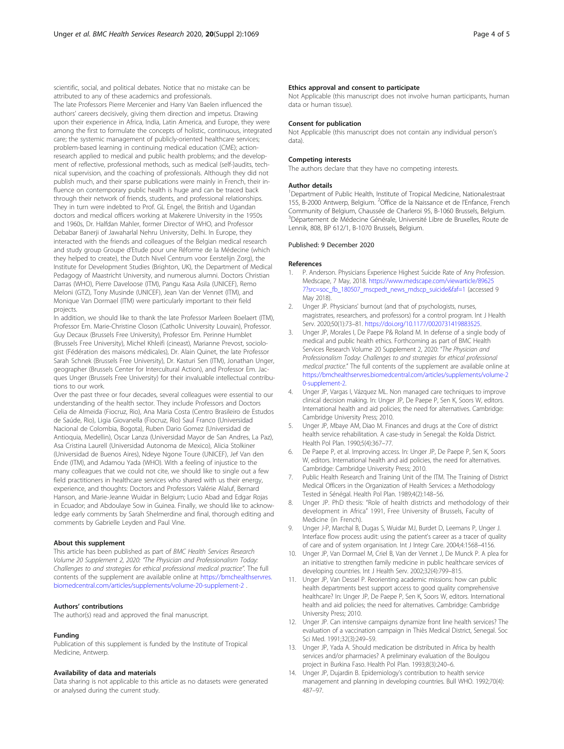<span id="page-3-0"></span>scientific, social, and political debates. Notice that no mistake can be attributed to any of these academics and professionals.

The late Professors Pierre Mercenier and Harry Van Baelen influenced the authors' careers decisively, giving them direction and impetus. Drawing upon their experience in Africa, India, Latin America, and Europe, they were among the first to formulate the concepts of holistic, continuous, integrated care; the systemic management of publicly-oriented healthcare services; problem-based learning in continuing medical education (CME); actionresearch applied to medical and public health problems; and the development of reflective, professional methods, such as medical (self-)audits, technical supervision, and the coaching of professionals. Although they did not publish much, and their sparse publications were mainly in French, their influence on contemporary public health is huge and can be traced back through their network of friends, students, and professional relationships. They in turn were indebted to Prof. GL Engel, the British and Ugandan doctors and medical officers working at Makerere University in the 1950s and 1960s, Dr. Halfdan Mahler, former Director of WHO, and Professor Debabar Banerji of Jawaharlal Nehru University, Delhi. In Europe, they interacted with the friends and colleagues of the Belgian medical research and study group Groupe d'Etude pour une Réforme de la Médecine (which they helped to create), the Dutch Nivel Centrum voor Eerstelijn Zorg), the Institute for Development Studies (Brighton, UK), the Department of Medical Pedagogy of Maastricht University, and numerous alumni. Doctors Christian Darras (WHO), Pierre Daveloose (ITM), Pangu Kasa Asila (UNICEF), Remo Meloni (GTZ), Tony Musinde (UNICEF), Jean Van der Vennet (ITM), and Monique Van Dormael (ITM) were particularly important to their field projects.

In addition, we should like to thank the late Professor Marleen Boelaert (ITM), Professor Em. Marie-Christine Closon (Catholic University Louvain), Professor. Guy Decaux (Brussels Free University), Professor Em. Perinne Humblet (Brussels Free University), Michel Khleifi (cineast), Marianne Prevost, sociologist (Fédération des maisons médicales), Dr. Alain Quinet, the late Professor Sarah Schnek (Brussels Free University), Dr. Kasturi Sen (ITM), Jonathan Unger, geographer (Brussels Center for Intercultural Action), and Professor Em. Jacques Unger (Brussels Free University) for their invaluable intellectual contributions to our work.

Over the past three or four decades, several colleagues were essential to our understanding of the health sector. They include Professors and Doctors Celia de Almeida (Fiocruz, Rio), Ana Maria Costa (Centro Brasileiro de Estudos de Saúde, Rio), Ligia Giovanella (Fiocruz, Rio) Saul Franco (Universidad Nacional de Colombia, Bogota), Ruben Dario Gomez (Universidad de Antioquia, Medellin), Oscar Lanza (Universidad Mayor de San Andres, La Paz), Asa Cristina Laurell (Universidad Autonoma de Mexico), Alicia Stolkiner (Universidad de Buenos Aires), Ndeye Ngone Toure (UNICEF), Jef Van den Ende (ITM), and Adamou Yada (WHO). With a feeling of injustice to the many colleagues that we could not cite, we should like to single out a few field practitioners in healthcare services who shared with us their energy, experience, and thoughts: Doctors and Professors Valérie Alaluf, Bernard Hanson, and Marie-Jeanne Wuidar in Belgium; Lucio Abad and Edgar Rojas in Ecuador; and Abdoulaye Sow in Guinea. Finally, we should like to acknowledge early comments by Sarah Shelmerdine and final, thorough editing and comments by Gabrielle Leyden and Paul Vine.

#### About this supplement

This article has been published as part of BMC Health Services Research Volume 20 Supplement 2, 2020: "The Physician and Professionalism Today: Challenges to and strategies for ethical professional medical practice". The full contents of the supplement are available online at [https://bmchealthservres.](https://bmchealthservres.biomedcentral.com/articles/supplements/volume-20-supplement-2) [biomedcentral.com/articles/supplements/volume-20-supplement-2](https://bmchealthservres.biomedcentral.com/articles/supplements/volume-20-supplement-2) .

#### Authors' contributions

The author(s) read and approved the final manuscript.

#### Funding

Publication of this supplement is funded by the Institute of Tropical Medicine, Antwerp.

#### Availability of data and materials

Data sharing is not applicable to this article as no datasets were generated or analysed during the current study.

### Ethics approval and consent to participate

Not Applicable (this manuscript does not involve human participants, human data or human tissue).

#### Consent for publication

Not Applicable (this manuscript does not contain any individual person's data).

#### Competing interests

The authors declare that they have no competing interests.

#### Author details

<sup>1</sup>Department of Public Health, Institute of Tropical Medicine, Nationalestraat 155, B-2000 Antwerp, Belgium. <sup>2</sup>Office de la Naissance et de l'Enfance, French Community of Belgium, Chaussée de Charleroi 95, B-1060 Brussels, Belgium. <sup>3</sup>Département de Médecine Générale, Université Libre de Bruxelles, Route de Lennik, 808, BP 612/1, B-1070 Brussels, Belgium.

#### Published: 9 December 2020

#### References

- 1. P. Anderson. Physicians Experience Highest Suicide Rate of Any Profession. Medscape, 7 May, 2018. [https://www.medscape.com/viewarticle/89625](https://www.medscape.com/viewarticle/896257?src=soc_fb_180507_mscpedt_news_mdscp_suicide&faf=1) [7?src=soc\\_fb\\_180507\\_mscpedt\\_news\\_mdscp\\_suicide&faf=1](https://www.medscape.com/viewarticle/896257?src=soc_fb_180507_mscpedt_news_mdscp_suicide&faf=1) (accessed 9 May 2018).
- 2. Unger JP. Physicians' burnout (and that of psychologists, nurses, magistrates, researchers, and professors) for a control program. Int J Health Serv. 2020;50(1):73–81. <https://doi.org/10.1177/0020731419883525>.
- 3. Unger JP, Morales I, De Paepe P& Roland M. In defense of a single body of medical and public health ethics. Forthcoming as part of BMC Health Services Research Volume 20 Supplement 2, 2020: "The Physician and Professionalism Today: Challenges to and strategies for ethical professional medical practice." The full contents of the supplement are available online at [https://bmchealthservres.biomedcentral.com/articles/supplements/volume-2](https://bmchealthservres.biomedcentral.com/articles/supplements/volume-20-supplement-2) [0-supplement-2.](https://bmchealthservres.biomedcentral.com/articles/supplements/volume-20-supplement-2)
- 4. Unger JP, Vargas I, Vázquez ML. Non managed care techniques to improve clinical decision making. In: Unger JP, De Paepe P, Sen K, Soors W, editors. International health and aid policies; the need for alternatives. Cambridge: Cambridge University Press; 2010.
- 5. Unger JP, Mbaye AM, Diao M. Finances and drugs at the Core of district health service rehabilitation. A case-study in Senegal: the Kolda District. Health Pol Plan. 1990;5(4):367–77.
- 6. De Paepe P, et al. Improving access. In: Unger JP, De Paepe P, Sen K, Soors W, editors. International health and aid policies, the need for alternatives. Cambridge: Cambridge University Press; 2010.
- 7. Public Health Research and Training Unit of the ITM. The Training of District Medical Officers in the Organization of Health Services: a Methodology Tested in Sénégal. Health Pol Plan. 1989;4(2):148–56.
- 8. Unger JP. PhD thesis: "Role of health districts and methodology of their development in Africa" 1991, Free University of Brussels, Faculty of Medicine (in French).
- 9. Unger J-P, Marchal B, Dugas S, Wuidar MJ, Burdet D, Leemans P, Unger J. Interface flow process audit: using the patient's career as a tracer of quality of care and of system organisation. Int J Integr Care. 2004;4:1568–4156.
- 10. Unger JP, Van Dormael M, Criel B, Van der Vennet J, De Munck P. A plea for an initiative to strengthen family medicine in public healthcare services of developing countries. Int J Health Serv. 2002;32(4):799–815.
- 11. Unger JP, Van Dessel P. Reorienting academic missions: how can public health departments best support access to good quality comprehensive healthcare? In: Unger JP, De Paepe P, Sen K, Soors W, editors. International health and aid policies; the need for alternatives. Cambridge: Cambridge University Press; 2010.
- 12. Unger JP. Can intensive campaigns dynamize front line health services? The evaluation of a vaccination campaign in Thiès Medical District, Senegal. Soc Sci Med. 1991;32(3):249–59.
- 13. Unger JP, Yada A. Should medication be distributed in Africa by health services and/or pharmacies? A preliminary evaluation of the Boulgou project in Burkina Faso. Health Pol Plan. 1993;8(3):240–6.
- 14. Unger JP, Dujardin B. Epidemiology's contribution to health service management and planning in developing countries. Bull WHO. 1992;70(4): 487–97.